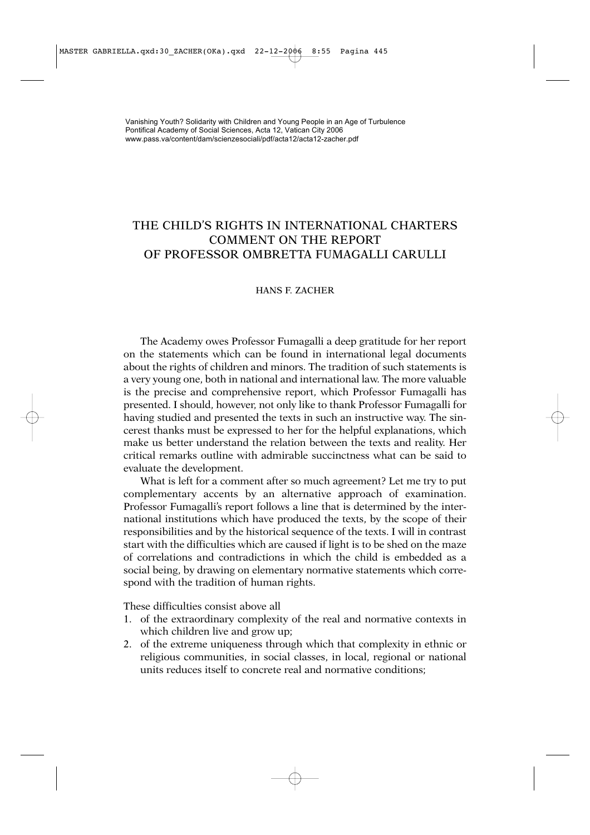## THE CHILD'S RIGHTS IN INTERNATIONAL CHARTERS COMMENT ON THE REPORT OF PROFESSOR OMBRETTA FUMAGALLI CARULLI

## HANS F. ZACHER

The Academy owes Professor Fumagalli a deep gratitude for her report on the statements which can be found in international legal documents about the rights of children and minors. The tradition of such statements is a very young one, both in national and international law. The more valuable is the precise and comprehensive report, which Professor Fumagalli has presented. I should, however, not only like to thank Professor Fumagalli for having studied and presented the texts in such an instructive way. The sincerest thanks must be expressed to her for the helpful explanations, which make us better understand the relation between the texts and reality. Her critical remarks outline with admirable succinctness what can be said to evaluate the development.

What is left for a comment after so much agreement? Let me try to put complementary accents by an alternative approach of examination. Professor Fumagalli's report follows a line that is determined by the international institutions which have produced the texts, by the scope of their responsibilities and by the historical sequence of the texts. I will in contrast start with the difficulties which are caused if light is to be shed on the maze of correlations and contradictions in which the child is embedded as a social being, by drawing on elementary normative statements which correspond with the tradition of human rights.

These difficulties consist above all

- 1. of the extraordinary complexity of the real and normative contexts in which children live and grow up;
- 2. of the extreme uniqueness through which that complexity in ethnic or religious communities, in social classes, in local, regional or national units reduces itself to concrete real and normative conditions;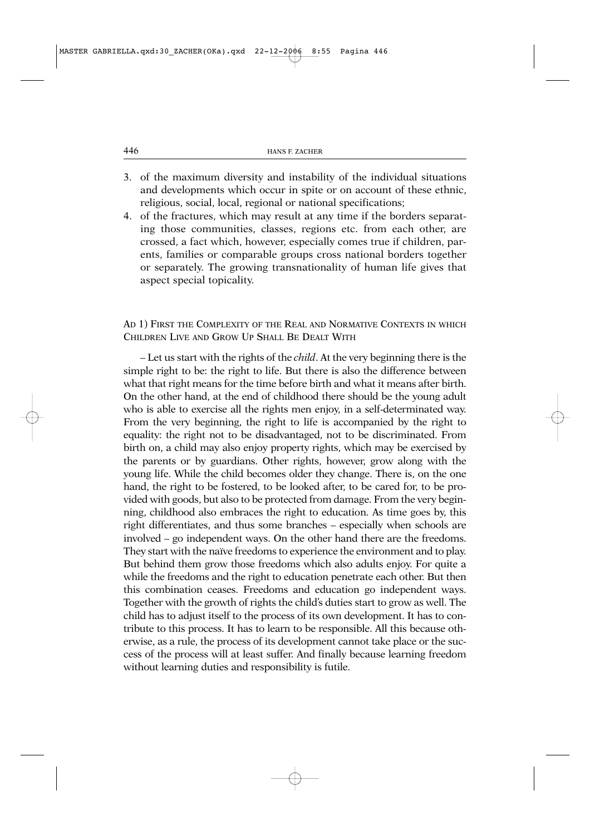- 3. of the maximum diversity and instability of the individual situations and developments which occur in spite or on account of these ethnic, religious, social, local, regional or national specifications;
- 4. of the fractures, which may result at any time if the borders separating those communities, classes, regions etc. from each other, are crossed, a fact which, however, especially comes true if children, parents, families or comparable groups cross national borders together or separately. The growing transnationality of human life gives that aspect special topicality.

## AD 1) FIRST THE COMPLEXITY OF THE REAL AND NORMATIVE CONTEXTS IN WHICH CHILDREN LIVE AND GROW UP SHALL BE DEALT WITH

– Let us start with the rights of the *child*. At the very beginning there is the simple right to be: the right to life. But there is also the difference between what that right means for the time before birth and what it means after birth. On the other hand, at the end of childhood there should be the young adult who is able to exercise all the rights men enjoy, in a self-determinated way. From the very beginning, the right to life is accompanied by the right to equality: the right not to be disadvantaged, not to be discriminated. From birth on, a child may also enjoy property rights, which may be exercised by the parents or by guardians. Other rights, however, grow along with the young life. While the child becomes older they change. There is, on the one hand, the right to be fostered, to be looked after, to be cared for, to be provided with goods, but also to be protected from damage. From the very beginning, childhood also embraces the right to education. As time goes by, this right differentiates, and thus some branches – especially when schools are involved – go independent ways. On the other hand there are the freedoms. They start with the naïve freedoms to experience the environment and to play. But behind them grow those freedoms which also adults enjoy. For quite a while the freedoms and the right to education penetrate each other. But then this combination ceases. Freedoms and education go independent ways. Together with the growth of rights the child's duties start to grow as well. The child has to adjust itself to the process of its own development. It has to contribute to this process. It has to learn to be responsible. All this because otherwise, as a rule, the process of its development cannot take place or the success of the process will at least suffer. And finally because learning freedom without learning duties and responsibility is futile.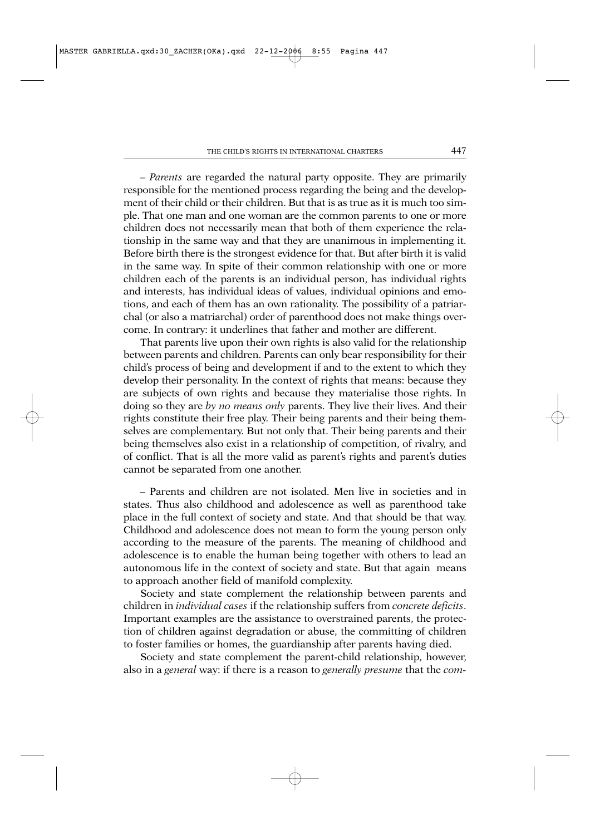– *Parents* are regarded the natural party opposite. They are primarily responsible for the mentioned process regarding the being and the development of their child or their children. But that is as true as it is much too simple. That one man and one woman are the common parents to one or more children does not necessarily mean that both of them experience the relationship in the same way and that they are unanimous in implementing it. Before birth there is the strongest evidence for that. But after birth it is valid in the same way. In spite of their common relationship with one or more children each of the parents is an individual person, has individual rights and interests, has individual ideas of values, individual opinions and emotions, and each of them has an own rationality. The possibility of a patriarchal (or also a matriarchal) order of parenthood does not make things overcome. In contrary: it underlines that father and mother are different.

That parents live upon their own rights is also valid for the relationship between parents and children. Parents can only bear responsibility for their child's process of being and development if and to the extent to which they develop their personality. In the context of rights that means: because they are subjects of own rights and because they materialise those rights. In doing so they are *by no means only* parents. They live their lives. And their rights constitute their free play. Their being parents and their being themselves are complementary. But not only that. Their being parents and their being themselves also exist in a relationship of competition, of rivalry, and of conflict. That is all the more valid as parent's rights and parent's duties cannot be separated from one another.

– Parents and children are not isolated. Men live in societies and in states. Thus also childhood and adolescence as well as parenthood take place in the full context of society and state. And that should be that way. Childhood and adolescence does not mean to form the young person only according to the measure of the parents. The meaning of childhood and adolescence is to enable the human being together with others to lead an autonomous life in the context of society and state. But that again means to approach another field of manifold complexity.

Society and state complement the relationship between parents and children in *individual cases* if the relationship suffers from *concrete deficits*. Important examples are the assistance to overstrained parents, the protection of children against degradation or abuse, the committing of children to foster families or homes, the guardianship after parents having died.

Society and state complement the parent-child relationship, however, also in a *general* way: if there is a reason to *generally presume* that the *com-*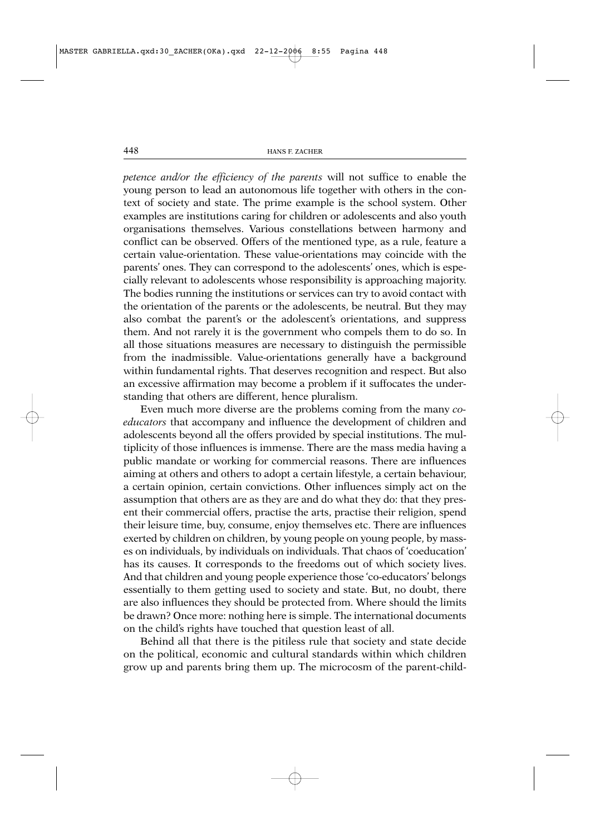*petence and/or the efficiency of the parents* will not suffice to enable the young person to lead an autonomous life together with others in the context of society and state. The prime example is the school system. Other examples are institutions caring for children or adolescents and also youth organisations themselves. Various constellations between harmony and conflict can be observed. Offers of the mentioned type, as a rule, feature a certain value-orientation. These value-orientations may coincide with the parents' ones. They can correspond to the adolescents' ones, which is especially relevant to adolescents whose responsibility is approaching majority. The bodies running the institutions or services can try to avoid contact with the orientation of the parents or the adolescents, be neutral. But they may also combat the parent's or the adolescent's orientations, and suppress them. And not rarely it is the government who compels them to do so. In all those situations measures are necessary to distinguish the permissible from the inadmissible. Value-orientations generally have a background within fundamental rights. That deserves recognition and respect. But also an excessive affirmation may become a problem if it suffocates the understanding that others are different, hence pluralism.

Even much more diverse are the problems coming from the many *coeducators* that accompany and influence the development of children and adolescents beyond all the offers provided by special institutions. The multiplicity of those influences is immense. There are the mass media having a public mandate or working for commercial reasons. There are influences aiming at others and others to adopt a certain lifestyle, a certain behaviour, a certain opinion, certain convictions. Other influences simply act on the assumption that others are as they are and do what they do: that they present their commercial offers, practise the arts, practise their religion, spend their leisure time, buy, consume, enjoy themselves etc. There are influences exerted by children on children, by young people on young people, by masses on individuals, by individuals on individuals. That chaos of 'coeducation' has its causes. It corresponds to the freedoms out of which society lives. And that children and young people experience those 'co-educators' belongs essentially to them getting used to society and state. But, no doubt, there are also influences they should be protected from. Where should the limits be drawn? Once more: nothing here is simple. The international documents on the child's rights have touched that question least of all.

Behind all that there is the pitiless rule that society and state decide on the political, economic and cultural standards within which children grow up and parents bring them up. The microcosm of the parent-child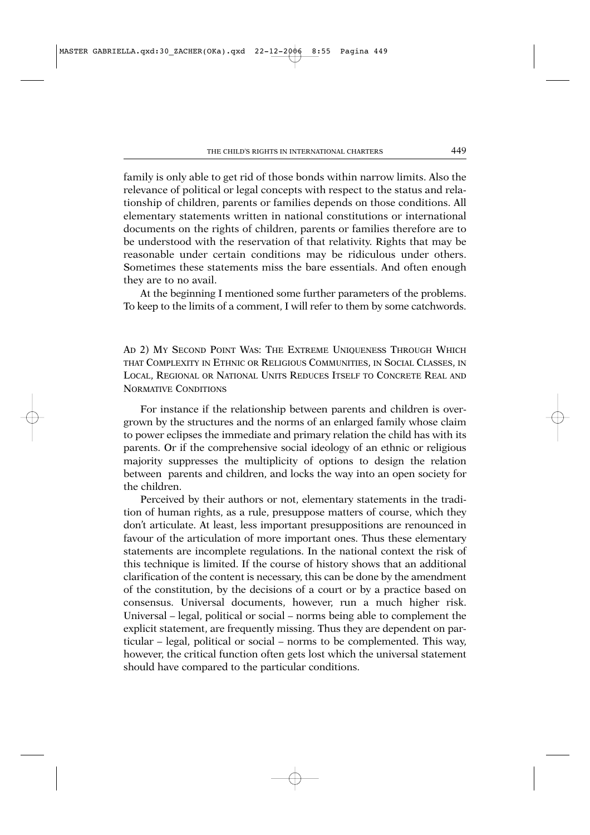family is only able to get rid of those bonds within narrow limits. Also the relevance of political or legal concepts with respect to the status and relationship of children, parents or families depends on those conditions. All elementary statements written in national constitutions or international documents on the rights of children, parents or families therefore are to be understood with the reservation of that relativity. Rights that may be reasonable under certain conditions may be ridiculous under others. Sometimes these statements miss the bare essentials. And often enough they are to no avail.

At the beginning I mentioned some further parameters of the problems. To keep to the limits of a comment, I will refer to them by some catchwords.

AD 2) MY SECOND POINT WAS: THE EXTREME UNIQUENESS THROUGH WHICH THAT COMPLEXITY IN ETHNIC OR RELIGIOUS COMMUNITIES, IN SOCIAL CLASSES, IN LOCAL, REGIONAL OR NATIONAL UNITS REDUCES ITSELF TO CONCRETE REAL AND NORMATIVE CONDITIONS

For instance if the relationship between parents and children is overgrown by the structures and the norms of an enlarged family whose claim to power eclipses the immediate and primary relation the child has with its parents. Or if the comprehensive social ideology of an ethnic or religious majority suppresses the multiplicity of options to design the relation between parents and children, and locks the way into an open society for the children.

Perceived by their authors or not, elementary statements in the tradition of human rights, as a rule, presuppose matters of course, which they don't articulate. At least, less important presuppositions are renounced in favour of the articulation of more important ones. Thus these elementary statements are incomplete regulations. In the national context the risk of this technique is limited. If the course of history shows that an additional clarification of the content is necessary, this can be done by the amendment of the constitution, by the decisions of a court or by a practice based on consensus. Universal documents, however, run a much higher risk. Universal – legal, political or social – norms being able to complement the explicit statement, are frequently missing. Thus they are dependent on particular – legal, political or social – norms to be complemented. This way, however, the critical function often gets lost which the universal statement should have compared to the particular conditions.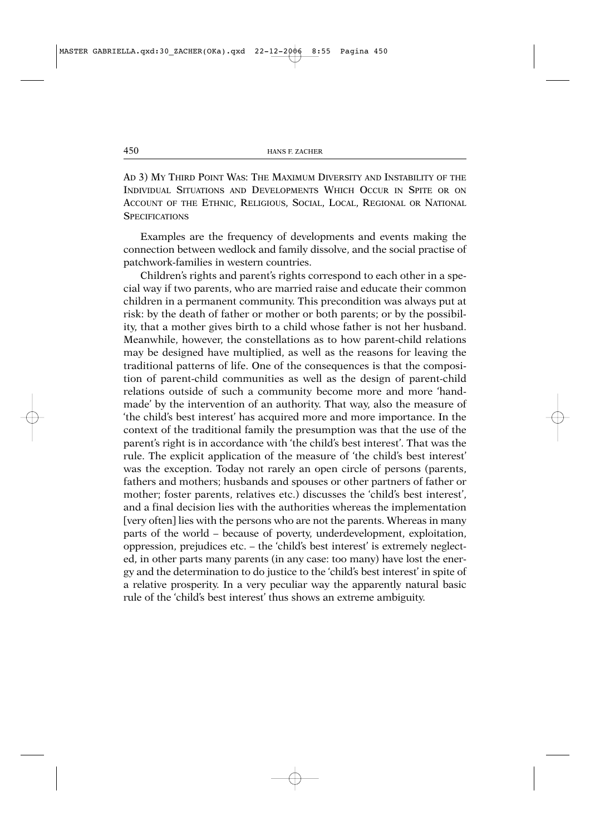AD 3) MY THIRD POINT WAS: THE MAXIMUM DIVERSITY AND INSTABILITY OF THE INDIVIDUAL SITUATIONS AND DEVELOPMENTS WHICH OCCUR IN SPITE OR ON ACCOUNT OF THE ETHNIC, RELIGIOUS, SOCIAL, LOCAL, REGIONAL OR NATIONAL **SPECIFICATIONS** 

Examples are the frequency of developments and events making the connection between wedlock and family dissolve, and the social practise of patchwork-families in western countries.

Children's rights and parent's rights correspond to each other in a special way if two parents, who are married raise and educate their common children in a permanent community. This precondition was always put at risk: by the death of father or mother or both parents; or by the possibility, that a mother gives birth to a child whose father is not her husband. Meanwhile, however, the constellations as to how parent-child relations may be designed have multiplied, as well as the reasons for leaving the traditional patterns of life. One of the consequences is that the composition of parent-child communities as well as the design of parent-child relations outside of such a community become more and more 'handmade' by the intervention of an authority. That way, also the measure of 'the child's best interest' has acquired more and more importance. In the context of the traditional family the presumption was that the use of the parent's right is in accordance with 'the child's best interest'. That was the rule. The explicit application of the measure of 'the child's best interest' was the exception. Today not rarely an open circle of persons (parents, fathers and mothers; husbands and spouses or other partners of father or mother; foster parents, relatives etc.) discusses the 'child's best interest', and a final decision lies with the authorities whereas the implementation [very often] lies with the persons who are not the parents. Whereas in many parts of the world – because of poverty, underdevelopment, exploitation, oppression, prejudices etc. – the 'child's best interest' is extremely neglected, in other parts many parents (in any case: too many) have lost the energy and the determination to do justice to the 'child's best interest' in spite of a relative prosperity. In a very peculiar way the apparently natural basic rule of the 'child's best interest' thus shows an extreme ambiguity.